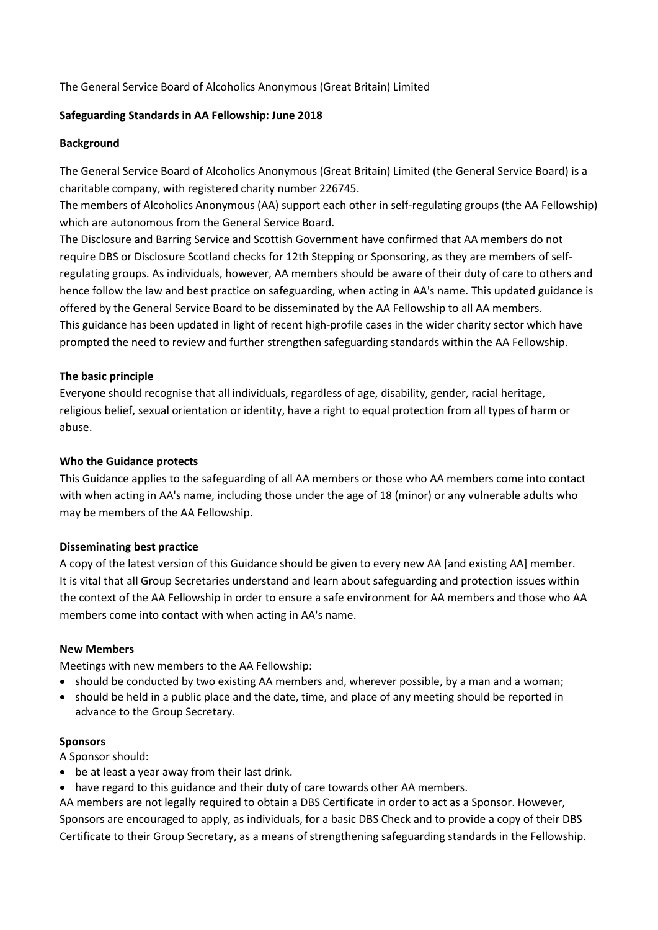The General Service Board of Alcoholics Anonymous (Great Britain) Limited

# **Safeguarding Standards in AA Fellowship: June 2018**

## **Background**

The General Service Board of Alcoholics Anonymous (Great Britain) Limited (the General Service Board) is a charitable company, with registered charity number 226745.

The members of Alcoholics Anonymous (AA) support each other in self-regulating groups (the AA Fellowship) which are autonomous from the General Service Board.

The Disclosure and Barring Service and Scottish Government have confirmed that AA members do not require DBS or Disclosure Scotland checks for 12th Stepping or Sponsoring, as they are members of selfregulating groups. As individuals, however, AA members should be aware of their duty of care to others and hence follow the law and best practice on safeguarding, when acting in AA's name. This updated guidance is offered by the General Service Board to be disseminated by the AA Fellowship to all AA members. This guidance has been updated in light of recent high-profile cases in the wider charity sector which have prompted the need to review and further strengthen safeguarding standards within the AA Fellowship.

## **The basic principle**

Everyone should recognise that all individuals, regardless of age, disability, gender, racial heritage, religious belief, sexual orientation or identity, have a right to equal protection from all types of harm or abuse.

### **Who the Guidance protects**

This Guidance applies to the safeguarding of all AA members or those who AA members come into contact with when acting in AA's name, including those under the age of 18 (minor) or any vulnerable adults who may be members of the AA Fellowship.

#### **Disseminating best practice**

A copy of the latest version of this Guidance should be given to every new AA [and existing AA] member. It is vital that all Group Secretaries understand and learn about safeguarding and protection issues within the context of the AA Fellowship in order to ensure a safe environment for AA members and those who AA members come into contact with when acting in AA's name.

#### **New Members**

Meetings with new members to the AA Fellowship:

- should be conducted by two existing AA members and, wherever possible, by a man and a woman;
- should be held in a public place and the date, time, and place of any meeting should be reported in advance to the Group Secretary.

#### **Sponsors**

A Sponsor should:

- be at least a year away from their last drink.
- have regard to this guidance and their duty of care towards other AA members.

AA members are not legally required to obtain a DBS Certificate in order to act as a Sponsor. However, Sponsors are encouraged to apply, as individuals, for a basic DBS Check and to provide a copy of their DBS Certificate to their Group Secretary, as a means of strengthening safeguarding standards in the Fellowship.